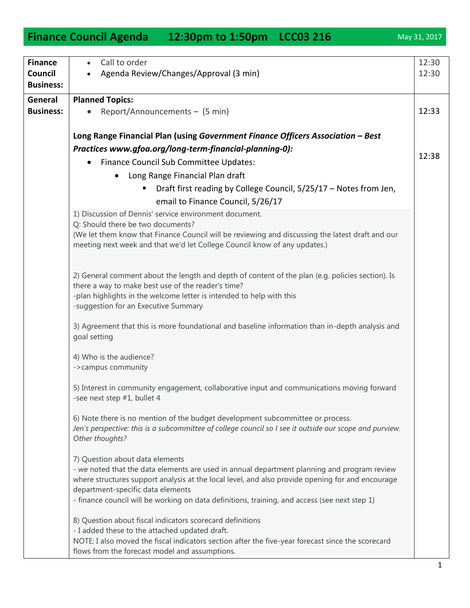1

## • Report/Announcements  $-$  (5 min) **Long Range Financial Plan (using** *Government Finance Officers Association – Best Practices www.gfoa.org/long-term-financial-planning-0):* **•** Finance Council Sub Committee Updates: Long Range Financial Plan draft Draft first reading by College Council, 5/25/17 – Notes from Jen, email to Finance Council, 5/26/17 1) Discussion of Dennis' service environment document. Q: Should there be two documents? (We let them know that Finance Council will be reviewing and discussing the latest draft and our meeting next week and that we'd let College Council know of any updates.) 2) General comment about the length and depth of content of the plan (e.g. policies section). Is there a way to make best use of the reader's time? -plan highlights in the welcome letter is intended to help with this -suggestion for an Executive Summary 3) Agreement that this is more foundational and baseline information than in-depth analysis and goal setting 4) Who is the audience? ->campus community 5) Interest in community engagement, collaborative input and communications moving forward -see next step #1, bullet 4

6) Note there is no mention of the budget development subcommittee or process. *Jen's perspective: this is a subcommittee of college council so I see it outside our scope and purview. Other thoughts?*

7) Question about data elements

- we noted that the data elements are used in annual department planning and program review where structures support analysis at the local level, and also provide opening for and encourage department-specific data elements

- finance council will be working on data definitions, training, and access (see next step 1)

8) Question about fiscal indicators scorecard definitions

- I added these to the attached updated draft.

NOTE: I also moved the fiscal indicators section after the five-year forecast since the scorecard flows from the forecast model and assumptions.

## **Finance Council Agenda 12:30pm to 1:50pm LCC03 216** May 31, 2017

Agenda Review/Changes/Approval (3 min)

Call to order

**Planned Topics:** 

**Finance Council Business:**

**General Business:** 

12:30 12:30

12:33

12:38